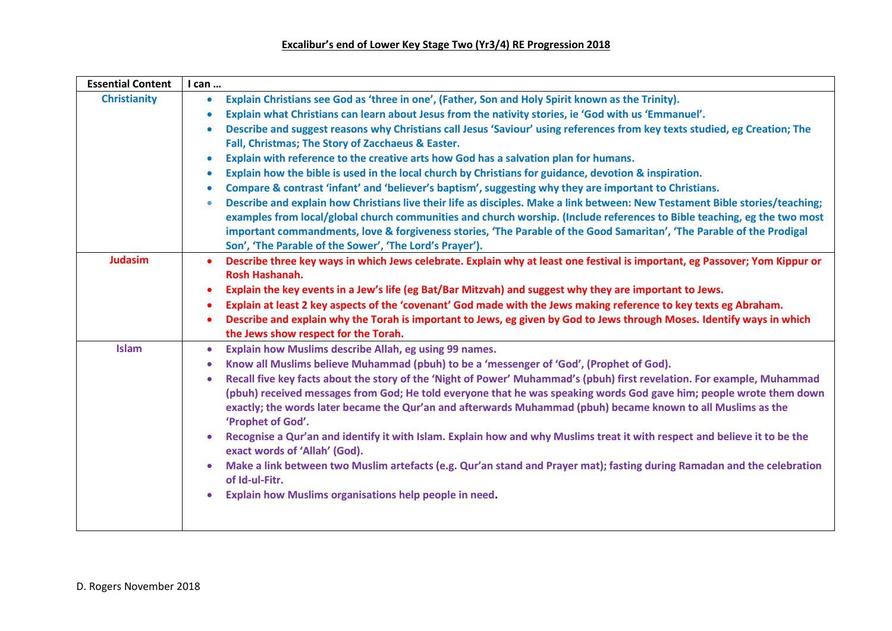| <b>Essential Content</b> | I can                                                                                                                                                                                                                                                                                                                                                                                    |
|--------------------------|------------------------------------------------------------------------------------------------------------------------------------------------------------------------------------------------------------------------------------------------------------------------------------------------------------------------------------------------------------------------------------------|
| <b>Christianity</b>      | Explain Christians see God as 'three in one', (Father, Son and Holy Spirit known as the Trinity).<br>$\bullet$                                                                                                                                                                                                                                                                           |
|                          | Explain what Christians can learn about Jesus from the nativity stories, ie 'God with us 'Emmanuel'.<br>$\bullet$                                                                                                                                                                                                                                                                        |
|                          | Describe and suggest reasons why Christians call Jesus 'Saviour' using references from key texts studied, eg Creation; The<br>$\bullet$                                                                                                                                                                                                                                                  |
|                          | Fall, Christmas; The Story of Zacchaeus & Easter.                                                                                                                                                                                                                                                                                                                                        |
|                          | Explain with reference to the creative arts how God has a salvation plan for humans.<br>$\bullet$                                                                                                                                                                                                                                                                                        |
|                          | Explain how the bible is used in the local church by Christians for guidance, devotion & inspiration.<br>$\bullet$                                                                                                                                                                                                                                                                       |
|                          | Compare & contrast 'infant' and 'believer's baptism', suggesting why they are important to Christians.<br>$\bullet$                                                                                                                                                                                                                                                                      |
|                          | Describe and explain how Christians live their life as disciples. Make a link between: New Testament Bible stories/teaching;<br>۰                                                                                                                                                                                                                                                        |
|                          | examples from local/global church communities and church worship. (Include references to Bible teaching, eg the two most                                                                                                                                                                                                                                                                 |
|                          | important commandments, love & forgiveness stories, 'The Parable of the Good Samaritan', 'The Parable of the Prodigal                                                                                                                                                                                                                                                                    |
|                          | Son', 'The Parable of the Sower', 'The Lord's Prayer').                                                                                                                                                                                                                                                                                                                                  |
| <b>Judasim</b>           | Describe three key ways in which Jews celebrate. Explain why at least one festival is important, eg Passover; Yom Kippur or<br>$\bullet$                                                                                                                                                                                                                                                 |
|                          | <b>Rosh Hashanah.</b>                                                                                                                                                                                                                                                                                                                                                                    |
|                          | Explain the key events in a Jew's life (eg Bat/Bar Mitzvah) and suggest why they are important to Jews.<br>$\bullet$                                                                                                                                                                                                                                                                     |
|                          | Explain at least 2 key aspects of the 'covenant' God made with the Jews making reference to key texts eg Abraham.                                                                                                                                                                                                                                                                        |
|                          | Describe and explain why the Torah is important to Jews, eg given by God to Jews through Moses. Identify ways in which<br>٠                                                                                                                                                                                                                                                              |
|                          | the Jews show respect for the Torah.                                                                                                                                                                                                                                                                                                                                                     |
| <b>Islam</b>             | Explain how Muslims describe Allah, eg using 99 names.<br>$\bullet$                                                                                                                                                                                                                                                                                                                      |
|                          | Know all Muslims believe Muhammad (pbuh) to be a 'messenger of 'God', (Prophet of God).<br>۰                                                                                                                                                                                                                                                                                             |
|                          | Recall five key facts about the story of the 'Night of Power' Muhammad's (pbuh) first revelation. For example, Muhammad<br>٠<br>(pbuh) received messages from God; He told everyone that he was speaking words God gave him; people wrote them down<br>exactly; the words later became the Qur'an and afterwards Muhammad (pbuh) became known to all Muslims as the<br>'Prophet of God'. |
|                          | Recognise a Qur'an and identify it with Islam. Explain how and why Muslims treat it with respect and believe it to be the<br>۰<br>exact words of 'Allah' (God).                                                                                                                                                                                                                          |
|                          | Make a link between two Muslim artefacts (e.g. Qur'an stand and Prayer mat); fasting during Ramadan and the celebration<br>۰<br>of Id-ul-Fitr.                                                                                                                                                                                                                                           |
|                          | Explain how Muslims organisations help people in need.                                                                                                                                                                                                                                                                                                                                   |
|                          |                                                                                                                                                                                                                                                                                                                                                                                          |